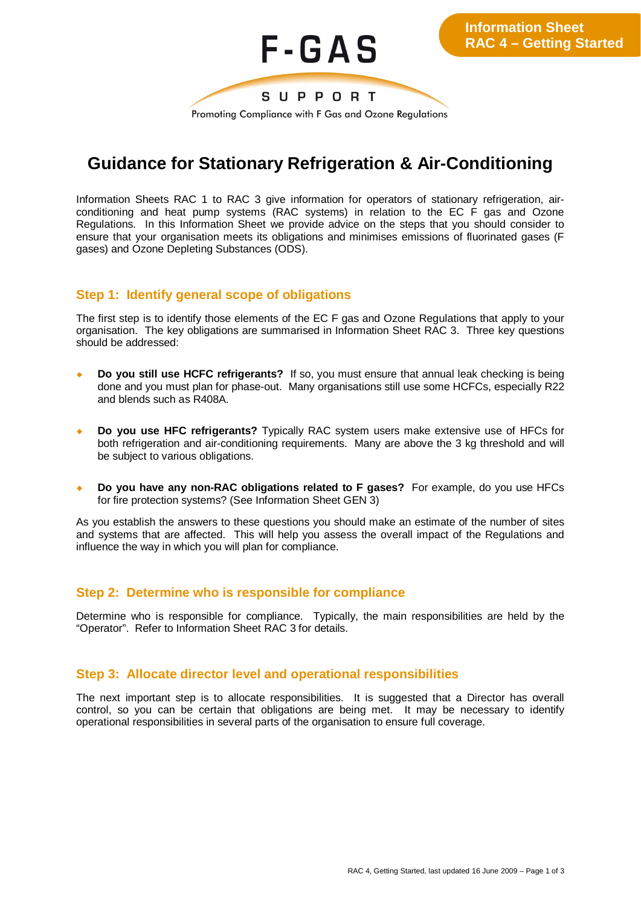

## **Guidance for Stationary Refrigeration & Air-Conditioning**

Information Sheets RAC 1 to RAC 3 give information for operators of stationary refrigeration, airconditioning and heat pump systems (RAC systems) in relation to the EC F gas and Ozone Regulations. In this Information Sheet we provide advice on the steps that you should consider to ensure that your organisation meets its obligations and minimises emissions of fluorinated gases (F gases) and Ozone Depleting Substances (ODS).

## **Step 1: Identify general scope of obligations**

The first step is to identify those elements of the EC F gas and Ozone Regulations that apply to your organisation. The key obligations are summarised in Information Sheet RAC 3. Three key questions should be addressed:

- ¡ **Do you still use HCFC refrigerants?** If so, you must ensure that annual leak checking is being done and you must plan for phase-out. Many organisations still use some HCFCs, especially R22 and blends such as R408A.
- ¡ **Do you use HFC refrigerants?** Typically RAC system users make extensive use of HFCs for both refrigeration and air-conditioning requirements. Many are above the 3 kg threshold and will be subject to various obligations.
- ¡ **Do you have any non-RAC obligations related to F gases?** For example, do you use HFCs for fire protection systems? (See Information Sheet GEN 3)

As you establish the answers to these questions you should make an estimate of the number of sites and systems that are affected. This will help you assess the overall impact of the Regulations and influence the way in which you will plan for compliance.

## **Step 2: Determine who is responsible for compliance**

Determine who is responsible for compliance. Typically, the main responsibilities are held by the "Operator". Refer to Information Sheet RAC 3 for details.

## **Step 3: Allocate director level and operational responsibilities**

The next important step is to allocate responsibilities. It is suggested that a Director has overall control, so you can be certain that obligations are being met. It may be necessary to identify operational responsibilities in several parts of the organisation to ensure full coverage.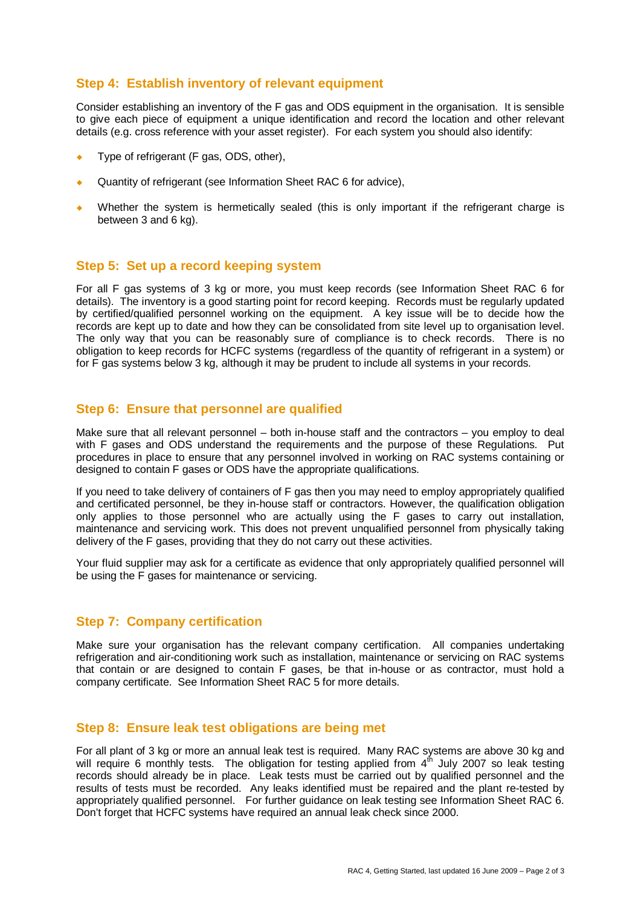## **Step 4: Establish inventory of relevant equipment**

Consider establishing an inventory of the F gas and ODS equipment in the organisation. It is sensible to give each piece of equipment a unique identification and record the location and other relevant details (e.g. cross reference with your asset register). For each system you should also identify:

- Type of refrigerant (F gas, ODS, other),
- Quantity of refrigerant (see Information Sheet RAC 6 for advice),
- Whether the system is hermetically sealed (this is only important if the refrigerant charge is between 3 and 6 kg).

#### **Step 5: Set up a record keeping system**

For all F gas systems of 3 kg or more, you must keep records (see Information Sheet RAC 6 for details). The inventory is a good starting point for record keeping. Records must be regularly updated by certified/qualified personnel working on the equipment. A key issue will be to decide how the records are kept up to date and how they can be consolidated from site level up to organisation level. The only way that you can be reasonably sure of compliance is to check records. There is no obligation to keep records for HCFC systems (regardless of the quantity of refrigerant in a system) or for F gas systems below 3 kg, although it may be prudent to include all systems in your records.

#### **Step 6: Ensure that personnel are qualified**

Make sure that all relevant personnel – both in-house staff and the contractors – you employ to deal with F gases and ODS understand the requirements and the purpose of these Regulations. Put procedures in place to ensure that any personnel involved in working on RAC systems containing or designed to contain F gases or ODS have the appropriate qualifications.

If you need to take delivery of containers of F gas then you may need to employ appropriately qualified and certificated personnel, be they in-house staff or contractors. However, the qualification obligation only applies to those personnel who are actually using the F gases to carry out installation, maintenance and servicing work. This does not prevent unqualified personnel from physically taking delivery of the F gases, providing that they do not carry out these activities.

Your fluid supplier may ask for a certificate as evidence that only appropriately qualified personnel will be using the F gases for maintenance or servicing.

#### **Step 7: Company certification**

Make sure your organisation has the relevant company certification. All companies undertaking refrigeration and air-conditioning work such as installation, maintenance or servicing on RAC systems that contain or are designed to contain F gases, be that in-house or as contractor, must hold a company certificate. See Information Sheet RAC 5 for more details.

#### **Step 8: Ensure leak test obligations are being met**

For all plant of 3 kg or more an annual leak test is required. Many RAC systems are above 30 kg and will require 6 monthly tests. The obligation for testing applied from  $4<sup>th</sup>$  July 2007 so leak testing records should already be in place. Leak tests must be carried out by qualified personnel and the results of tests must be recorded. Any leaks identified must be repaired and the plant re-tested by appropriately qualified personnel. For further guidance on leak testing see Information Sheet RAC 6. Don't forget that HCFC systems have required an annual leak check since 2000.